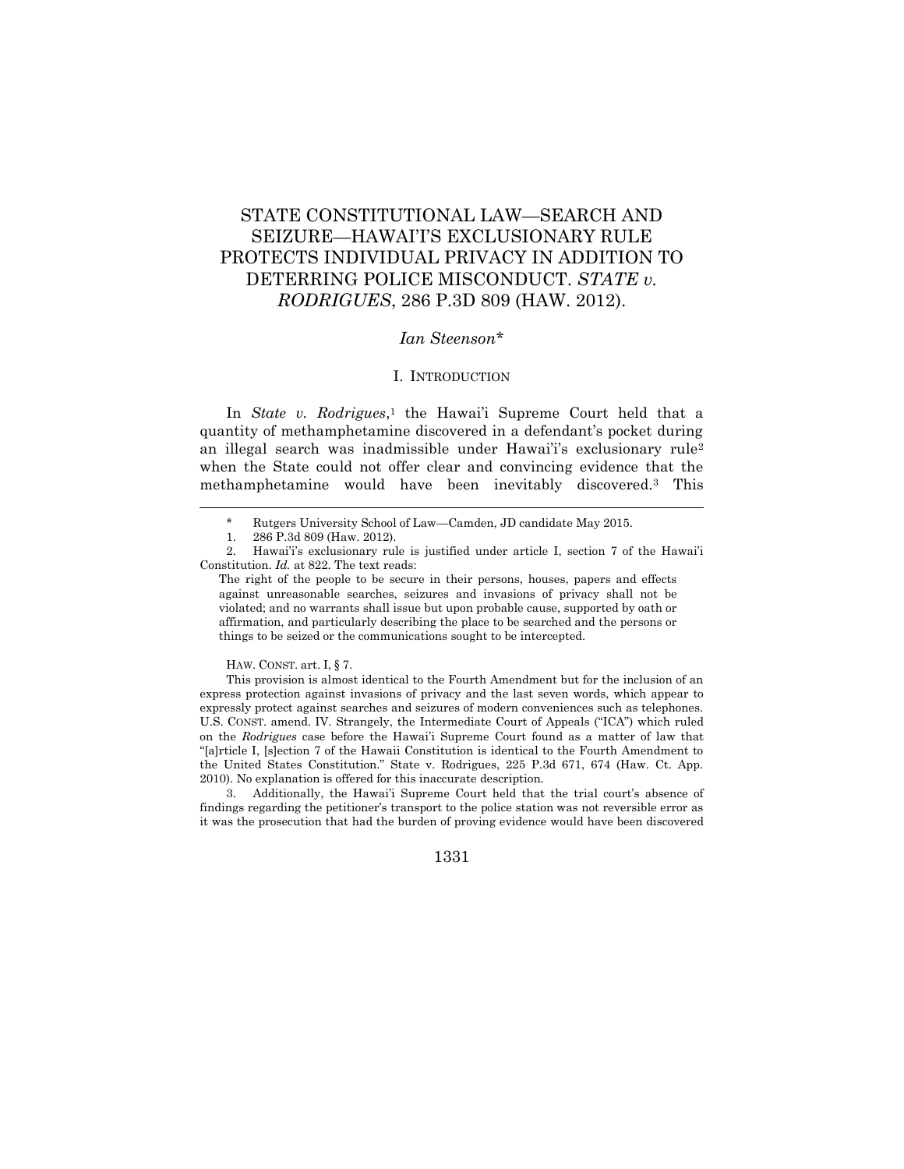# STATE CONSTITUTIONAL LAW—SEARCH AND SEIZURE—HAWAI'I'S EXCLUSIONARY RULE PROTECTS INDIVIDUAL PRIVACY IN ADDITION TO DETERRING POLICE MISCONDUCT. *STATE v. RODRIGUES*, 286 P.3D 809 (HAW. 2012).

## *Ian Steenson*\*

#### I. INTRODUCTION

In *State v. Rodrigues*, <sup>1</sup> the Hawai'i Supreme Court held that a quantity of methamphetamine discovered in a defendant's pocket during an illegal search was inadmissible under Hawai'i's exclusionary rule<sup>2</sup> when the State could not offer clear and convincing evidence that the methamphetamine would have been inevitably discovered.<sup>3</sup> This

 $\overline{a}$ 

HAW. CONST. art. I, § 7.

<sup>\*</sup> Rutgers University School of Law—Camden, JD candidate May 2015.

<sup>1.</sup> 286 P.3d 809 (Haw. 2012).

<sup>2.</sup> Hawai'i's exclusionary rule is justified under article I, section 7 of the Hawai'i Constitution. *Id.* at 822. The text reads:

The right of the people to be secure in their persons, houses, papers and effects against unreasonable searches, seizures and invasions of privacy shall not be violated; and no warrants shall issue but upon probable cause, supported by oath or affirmation, and particularly describing the place to be searched and the persons or things to be seized or the communications sought to be intercepted.

This provision is almost identical to the Fourth Amendment but for the inclusion of an express protection against invasions of privacy and the last seven words, which appear to expressly protect against searches and seizures of modern conveniences such as telephones. U.S. CONST. amend. IV. Strangely, the Intermediate Court of Appeals ("ICA") which ruled on the *Rodrigues* case before the Hawai'i Supreme Court found as a matter of law that "[a]rticle I, [s]ection 7 of the Hawaii Constitution is identical to the Fourth Amendment to the United States Constitution." State v. Rodrigues, 225 P.3d 671, 674 (Haw. Ct. App. 2010). No explanation is offered for this inaccurate description.

<sup>3.</sup> Additionally, the Hawai'i Supreme Court held that the trial court's absence of findings regarding the petitioner's transport to the police station was not reversible error as it was the prosecution that had the burden of proving evidence would have been discovered

<sup>1331</sup>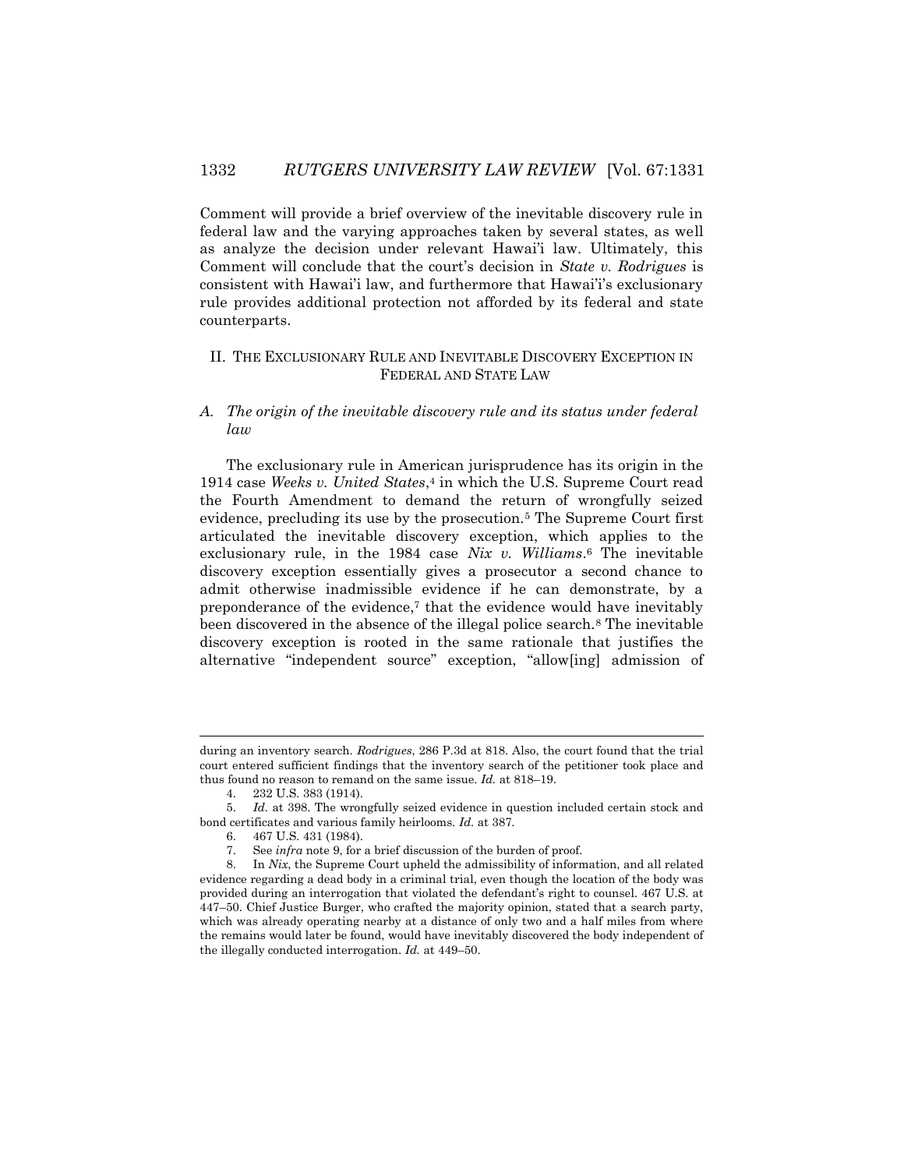Comment will provide a brief overview of the inevitable discovery rule in federal law and the varying approaches taken by several states, as well as analyze the decision under relevant Hawai'i law. Ultimately, this Comment will conclude that the court's decision in *State v. Rodrigues* is consistent with Hawai'i law, and furthermore that Hawai'i's exclusionary rule provides additional protection not afforded by its federal and state counterparts.

## II. THE EXCLUSIONARY RULE AND INEVITABLE DISCOVERY EXCEPTION IN FEDERAL AND STATE LAW

# *A. The origin of the inevitable discovery rule and its status under federal law*

The exclusionary rule in American jurisprudence has its origin in the 1914 case *Weeks v. United States*, <sup>4</sup> in which the U.S. Supreme Court read the Fourth Amendment to demand the return of wrongfully seized evidence, precluding its use by the prosecution.<sup>5</sup> The Supreme Court first articulated the inevitable discovery exception, which applies to the exclusionary rule, in the 1984 case *Nix v. Williams*. <sup>6</sup> The inevitable discovery exception essentially gives a prosecutor a second chance to admit otherwise inadmissible evidence if he can demonstrate, by a preponderance of the evidence,<sup>7</sup> that the evidence would have inevitably been discovered in the absence of the illegal police search.<sup>8</sup> The inevitable discovery exception is rooted in the same rationale that justifies the alternative "independent source" exception, "allow[ing] admission of

during an inventory search. *Rodrigues*, 286 P.3d at 818. Also, the court found that the trial court entered sufficient findings that the inventory search of the petitioner took place and thus found no reason to remand on the same issue. *Id.* at 818–19.

<sup>4.</sup> 232 U.S. 383 (1914).

<sup>5.</sup> *Id.* at 398. The wrongfully seized evidence in question included certain stock and bond certificates and various family heirlooms*. Id.* at 387.

<sup>6.</sup> 467 U.S. 431 (1984).

<sup>7.</sup> See *infra* note 9, for a brief discussion of the burden of proof.

<sup>8.</sup> In *Nix*, the Supreme Court upheld the admissibility of information, and all related evidence regarding a dead body in a criminal trial, even though the location of the body was provided during an interrogation that violated the defendant's right to counsel. 467 U.S. at 447–50. Chief Justice Burger, who crafted the majority opinion, stated that a search party, which was already operating nearby at a distance of only two and a half miles from where the remains would later be found, would have inevitably discovered the body independent of the illegally conducted interrogation. *Id.* at 449–50.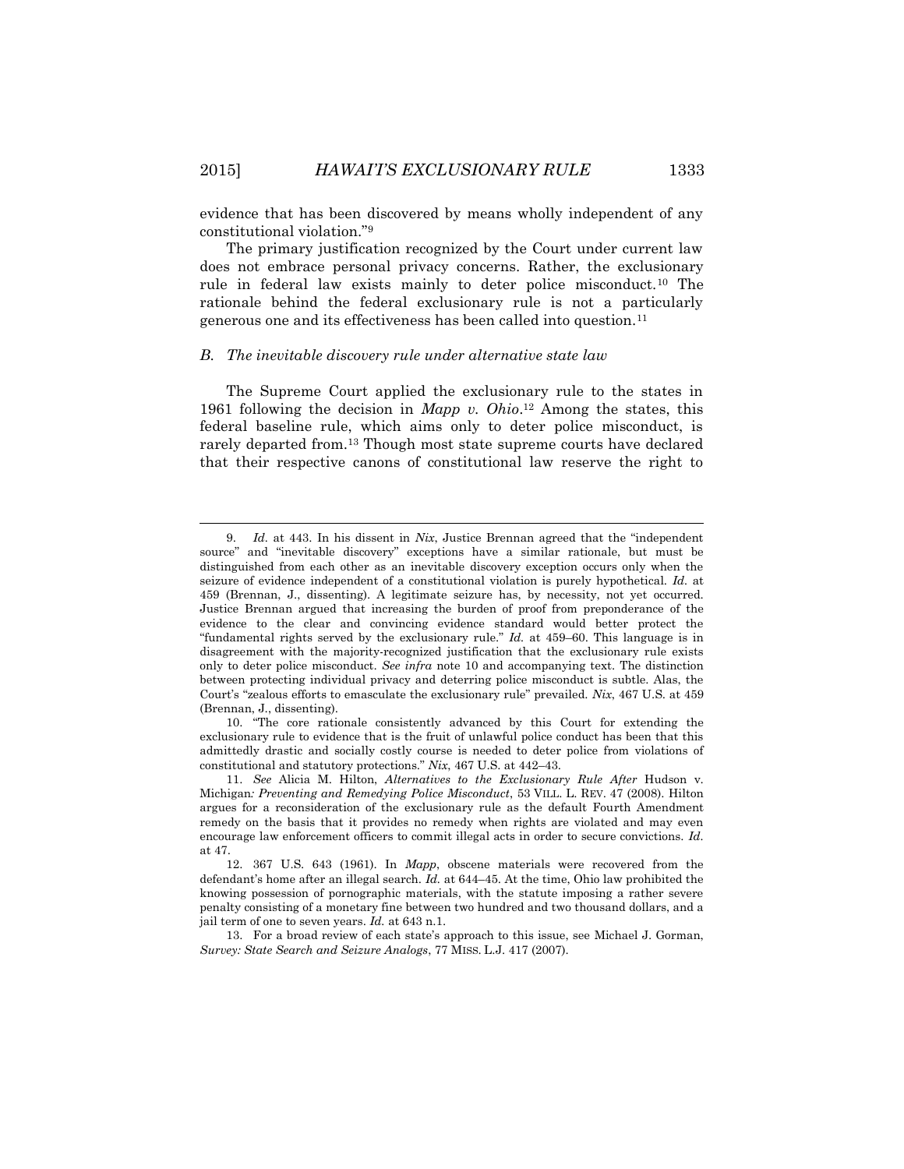evidence that has been discovered by means wholly independent of any constitutional violation."<sup>9</sup>

The primary justification recognized by the Court under current law does not embrace personal privacy concerns. Rather, the exclusionary rule in federal law exists mainly to deter police misconduct.<sup>10</sup> The rationale behind the federal exclusionary rule is not a particularly generous one and its effectiveness has been called into question.<sup>11</sup>

#### *B. The inevitable discovery rule under alternative state law*

The Supreme Court applied the exclusionary rule to the states in 1961 following the decision in *Mapp v. Ohio*. <sup>12</sup> Among the states, this federal baseline rule, which aims only to deter police misconduct, is rarely departed from.<sup>13</sup> Though most state supreme courts have declared that their respective canons of constitutional law reserve the right to

10. "The core rationale consistently advanced by this Court for extending the exclusionary rule to evidence that is the fruit of unlawful police conduct has been that this admittedly drastic and socially costly course is needed to deter police from violations of constitutional and statutory protections." *Nix*, 467 U.S. at 442–43.

13. For a broad review of each state's approach to this issue, see Michael J. Gorman, *Survey: State Search and Seizure Analogs*, 77 MISS. L.J. 417 (2007).

l

<sup>9.</sup> *Id.* at 443. In his dissent in *Nix*, Justice Brennan agreed that the "independent source" and "inevitable discovery" exceptions have a similar rationale, but must be distinguished from each other as an inevitable discovery exception occurs only when the seizure of evidence independent of a constitutional violation is purely hypothetical. *Id.* at 459 (Brennan, J., dissenting). A legitimate seizure has, by necessity, not yet occurred. Justice Brennan argued that increasing the burden of proof from preponderance of the evidence to the clear and convincing evidence standard would better protect the "fundamental rights served by the exclusionary rule." *Id.* at 459–60. This language is in disagreement with the majority-recognized justification that the exclusionary rule exists only to deter police misconduct. *See infra* note 10 and accompanying text. The distinction between protecting individual privacy and deterring police misconduct is subtle. Alas, the Court's "zealous efforts to emasculate the exclusionary rule" prevailed. *Nix*, 467 U.S. at 459 (Brennan, J., dissenting).

<sup>11.</sup> *See* Alicia M. Hilton, *Alternatives to the Exclusionary Rule After* Hudson v. Michigan*: Preventing and Remedying Police Misconduct*, 53 VILL. L. REV. 47 (2008). Hilton argues for a reconsideration of the exclusionary rule as the default Fourth Amendment remedy on the basis that it provides no remedy when rights are violated and may even encourage law enforcement officers to commit illegal acts in order to secure convictions. *Id.*  at 47.

<sup>12.</sup> 367 U.S. 643 (1961). In *Mapp*, obscene materials were recovered from the defendant's home after an illegal search. *Id.* at 644–45. At the time, Ohio law prohibited the knowing possession of pornographic materials, with the statute imposing a rather severe penalty consisting of a monetary fine between two hundred and two thousand dollars, and a jail term of one to seven years. *Id.* at 643 n.1.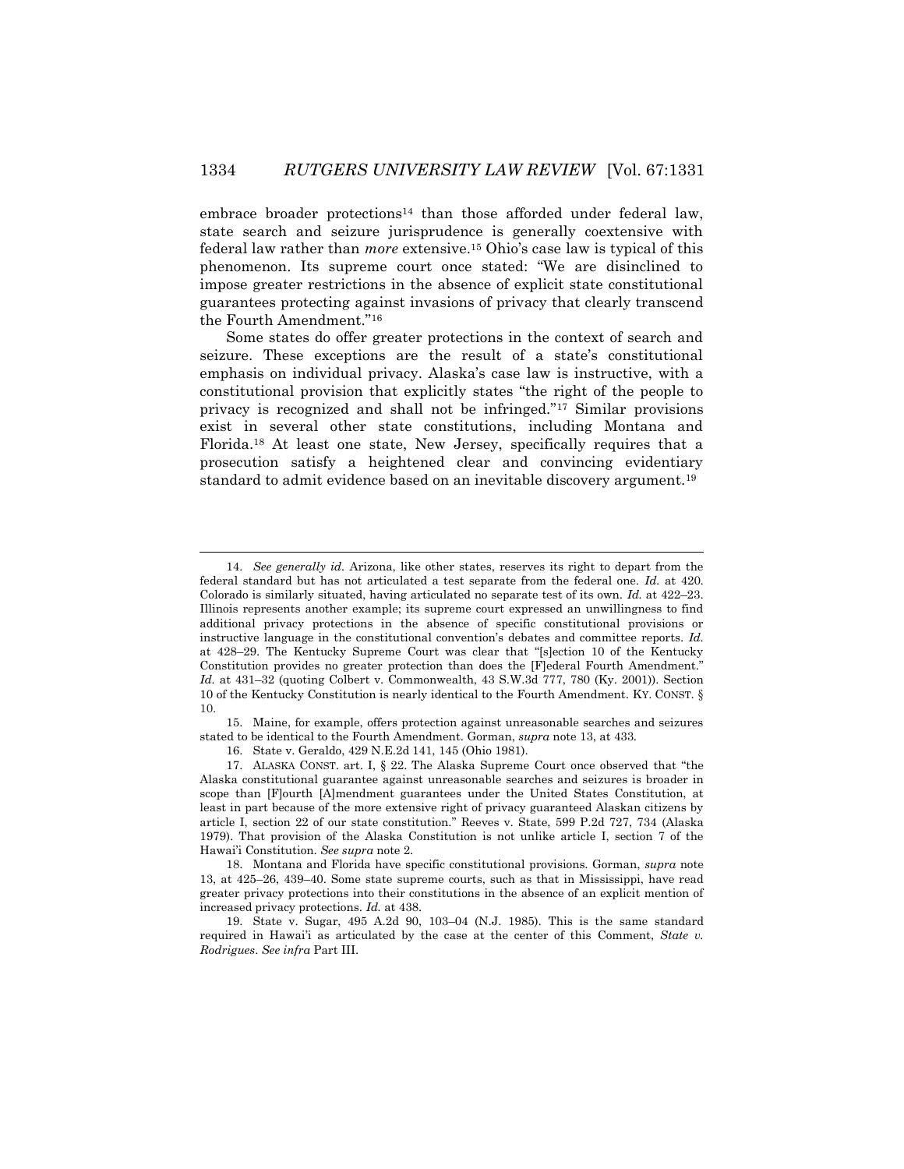embrace broader protections<sup>14</sup> than those afforded under federal law, state search and seizure jurisprudence is generally coextensive with federal law rather than *more* extensive.<sup>15</sup> Ohio's case law is typical of this phenomenon. Its supreme court once stated: "We are disinclined to impose greater restrictions in the absence of explicit state constitutional guarantees protecting against invasions of privacy that clearly transcend the Fourth Amendment."<sup>16</sup>

Some states do offer greater protections in the context of search and seizure. These exceptions are the result of a state's constitutional emphasis on individual privacy. Alaska's case law is instructive, with a constitutional provision that explicitly states "the right of the people to privacy is recognized and shall not be infringed."<sup>17</sup> Similar provisions exist in several other state constitutions, including Montana and Florida.<sup>18</sup> At least one state, New Jersey, specifically requires that a prosecution satisfy a heightened clear and convincing evidentiary standard to admit evidence based on an inevitable discovery argument.<sup>19</sup>

15. Maine, for example, offers protection against unreasonable searches and seizures stated to be identical to the Fourth Amendment. Gorman, *supra* note 13, at 433.

16. State v. Geraldo, 429 N.E.2d 141, 145 (Ohio 1981).

<sup>14.</sup> *See generally id.* Arizona, like other states, reserves its right to depart from the federal standard but has not articulated a test separate from the federal one. *Id.* at 420. Colorado is similarly situated, having articulated no separate test of its own. *Id.* at 422–23. Illinois represents another example; its supreme court expressed an unwillingness to find additional privacy protections in the absence of specific constitutional provisions or instructive language in the constitutional convention's debates and committee reports. *Id.*  at 428–29. The Kentucky Supreme Court was clear that "[s]ection 10 of the Kentucky Constitution provides no greater protection than does the [F]ederal Fourth Amendment." *Id.* at 431–32 (quoting Colbert v. Commonwealth, 43 S.W.3d 777, 780 (Ky. 2001)). Section 10 of the Kentucky Constitution is nearly identical to the Fourth Amendment. KY. CONST. § 10.

<sup>17.</sup> ALASKA CONST. art. I, § 22. The Alaska Supreme Court once observed that "the Alaska constitutional guarantee against unreasonable searches and seizures is broader in scope than [F]ourth [A]mendment guarantees under the United States Constitution, at least in part because of the more extensive right of privacy guaranteed Alaskan citizens by article I, section 22 of our state constitution." Reeves v. State, 599 P.2d 727, 734 (Alaska 1979). That provision of the Alaska Constitution is not unlike article I, section 7 of the Hawai'i Constitution. *See supra* note 2.

<sup>18.</sup> Montana and Florida have specific constitutional provisions. Gorman, *supra* note 13, at 425–26, 439–40. Some state supreme courts, such as that in Mississippi, have read greater privacy protections into their constitutions in the absence of an explicit mention of increased privacy protections. *Id.* at 438.

<sup>19.</sup> State v. Sugar, 495 A.2d 90, 103–04 (N.J. 1985). This is the same standard required in Hawai'i as articulated by the case at the center of this Comment, *State v. Rodrigues*. *See infra* Part III.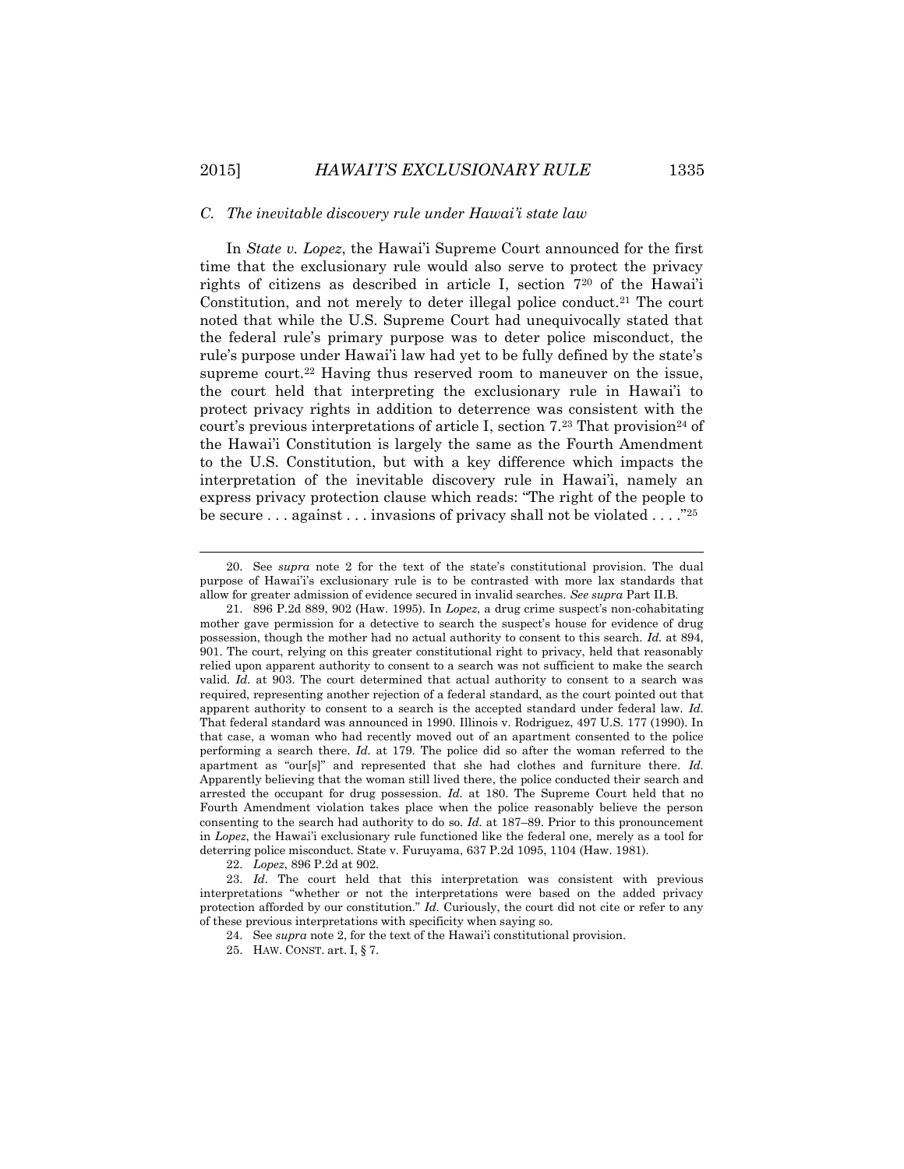#### *C. The inevitable discovery rule under Hawai'i state law*

In *State v. Lopez*, the Hawai'i Supreme Court announced for the first time that the exclusionary rule would also serve to protect the privacy rights of citizens as described in article I, section 7<sup>20</sup> of the Hawai'i Constitution, and not merely to deter illegal police conduct.<sup>21</sup> The court noted that while the U.S. Supreme Court had unequivocally stated that the federal rule's primary purpose was to deter police misconduct, the rule's purpose under Hawai'i law had yet to be fully defined by the state's supreme court.<sup>22</sup> Having thus reserved room to maneuver on the issue, the court held that interpreting the exclusionary rule in Hawai'i to protect privacy rights in addition to deterrence was consistent with the court's previous interpretations of article I, section  $7<sup>23</sup>$  That provision<sup>24</sup> of the Hawai'i Constitution is largely the same as the Fourth Amendment to the U.S. Constitution, but with a key difference which impacts the interpretation of the inevitable discovery rule in Hawai'i, namely an express privacy protection clause which reads: "The right of the people to be secure . . . against . . . invasions of privacy shall not be violated . . . ."<sup>25</sup>

22. *Lopez*, 896 P.2d at 902.

<sup>20.</sup> See *supra* note 2 for the text of the state's constitutional provision. The dual purpose of Hawai'i's exclusionary rule is to be contrasted with more lax standards that allow for greater admission of evidence secured in invalid searches. *See supra* Part II.B.

<sup>21.</sup> 896 P.2d 889, 902 (Haw. 1995). In *Lopez*, a drug crime suspect's non-cohabitating mother gave permission for a detective to search the suspect's house for evidence of drug possession, though the mother had no actual authority to consent to this search. *Id.* at 894, 901. The court, relying on this greater constitutional right to privacy, held that reasonably relied upon apparent authority to consent to a search was not sufficient to make the search valid. *Id.* at 903. The court determined that actual authority to consent to a search was required, representing another rejection of a federal standard, as the court pointed out that apparent authority to consent to a search is the accepted standard under federal law. *Id.*  That federal standard was announced in 1990*.* Illinois v. Rodriguez, 497 U.S. 177 (1990). In that case, a woman who had recently moved out of an apartment consented to the police performing a search there. *Id.* at 179. The police did so after the woman referred to the apartment as "our[s]" and represented that she had clothes and furniture there. *Id.*  Apparently believing that the woman still lived there, the police conducted their search and arrested the occupant for drug possession. *Id.* at 180. The Supreme Court held that no Fourth Amendment violation takes place when the police reasonably believe the person consenting to the search had authority to do so. *Id.* at 187–89. Prior to this pronouncement in *Lopez*, the Hawai'i exclusionary rule functioned like the federal one, merely as a tool for deterring police misconduct. State v. Furuyama, 637 P.2d 1095, 1104 (Haw. 1981).

<sup>23.</sup> *Id.* The court held that this interpretation was consistent with previous interpretations "whether or not the interpretations were based on the added privacy protection afforded by our constitution." *Id.* Curiously, the court did not cite or refer to any of these previous interpretations with specificity when saying so.

<sup>24.</sup> See *supra* note 2, for the text of the Hawai'i constitutional provision.

<sup>25.</sup> HAW. CONST. art. I, § 7.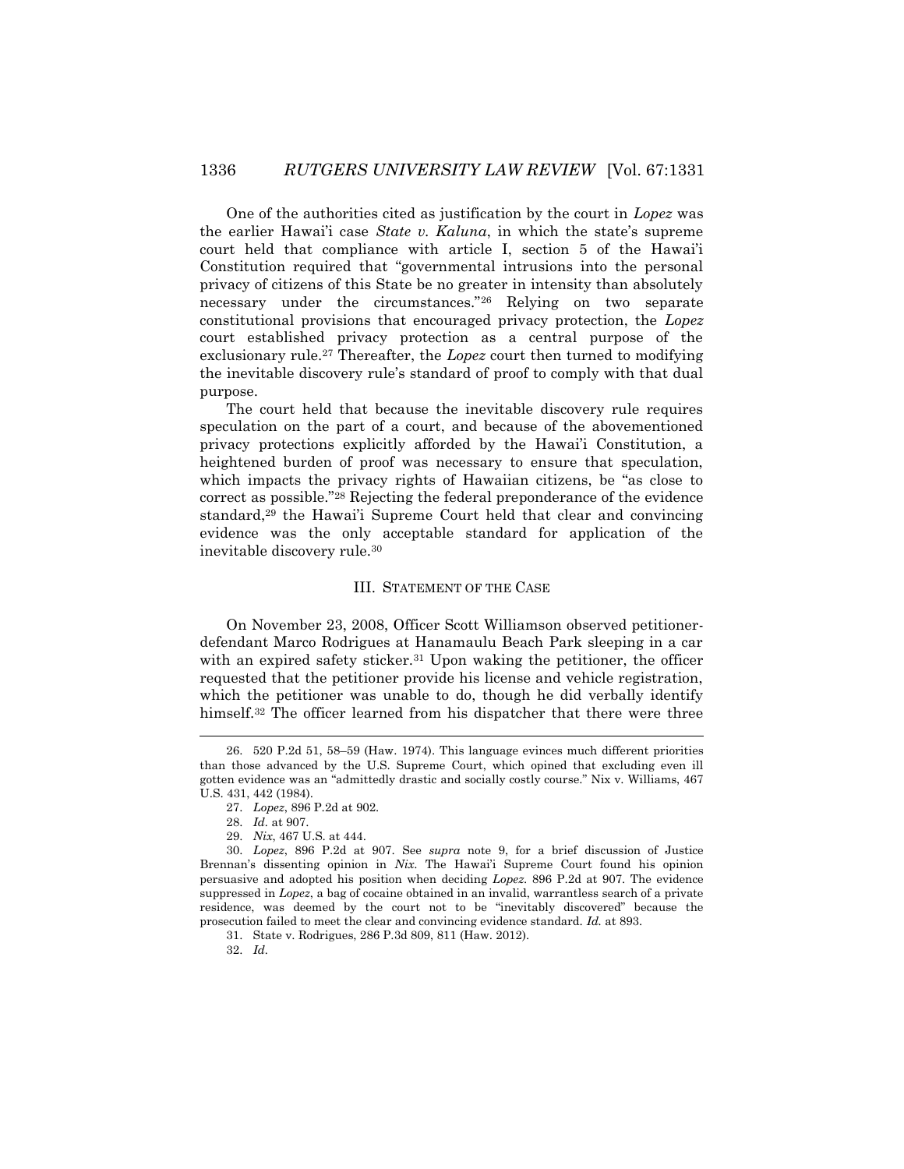One of the authorities cited as justification by the court in *Lopez* was the earlier Hawai'i case *State v. Kaluna*, in which the state's supreme court held that compliance with article I, section 5 of the Hawai'i Constitution required that "governmental intrusions into the personal privacy of citizens of this State be no greater in intensity than absolutely necessary under the circumstances."<sup>26</sup> Relying on two separate constitutional provisions that encouraged privacy protection, the *Lopez*  court established privacy protection as a central purpose of the exclusionary rule.<sup>27</sup> Thereafter, the *Lopez* court then turned to modifying the inevitable discovery rule's standard of proof to comply with that dual purpose.

The court held that because the inevitable discovery rule requires speculation on the part of a court, and because of the abovementioned privacy protections explicitly afforded by the Hawai'i Constitution, a heightened burden of proof was necessary to ensure that speculation, which impacts the privacy rights of Hawaiian citizens, be "as close to correct as possible."<sup>28</sup> Rejecting the federal preponderance of the evidence standard,<sup>29</sup> the Hawai'i Supreme Court held that clear and convincing evidence was the only acceptable standard for application of the inevitable discovery rule.<sup>30</sup>

#### III. STATEMENT OF THE CASE

On November 23, 2008, Officer Scott Williamson observed petitionerdefendant Marco Rodrigues at Hanamaulu Beach Park sleeping in a car with an expired safety sticker.<sup>31</sup> Upon waking the petitioner, the officer requested that the petitioner provide his license and vehicle registration, which the petitioner was unable to do, though he did verbally identify himself.<sup>32</sup> The officer learned from his dispatcher that there were three

 $\overline{a}$ 

32. *Id.*

<sup>26.</sup> 520 P.2d 51, 58–59 (Haw. 1974). This language evinces much different priorities than those advanced by the U.S. Supreme Court, which opined that excluding even ill gotten evidence was an "admittedly drastic and socially costly course." Nix v. Williams, 467 U.S. 431, 442 (1984).

<sup>27.</sup> *Lopez*, 896 P.2d at 902.

<sup>28.</sup> *Id.* at 907.

<sup>29.</sup> *Nix*, 467 U.S. at 444.

<sup>30.</sup> *Lopez*, 896 P.2d at 907. See *supra* note 9, for a brief discussion of Justice Brennan's dissenting opinion in *Nix*. The Hawai'i Supreme Court found his opinion persuasive and adopted his position when deciding *Lopez*. 896 P.2d at 907. The evidence suppressed in *Lopez*, a bag of cocaine obtained in an invalid, warrantless search of a private residence, was deemed by the court not to be "inevitably discovered" because the prosecution failed to meet the clear and convincing evidence standard. *Id.* at 893.

<sup>31.</sup> State v. Rodrigues, 286 P.3d 809, 811 (Haw. 2012).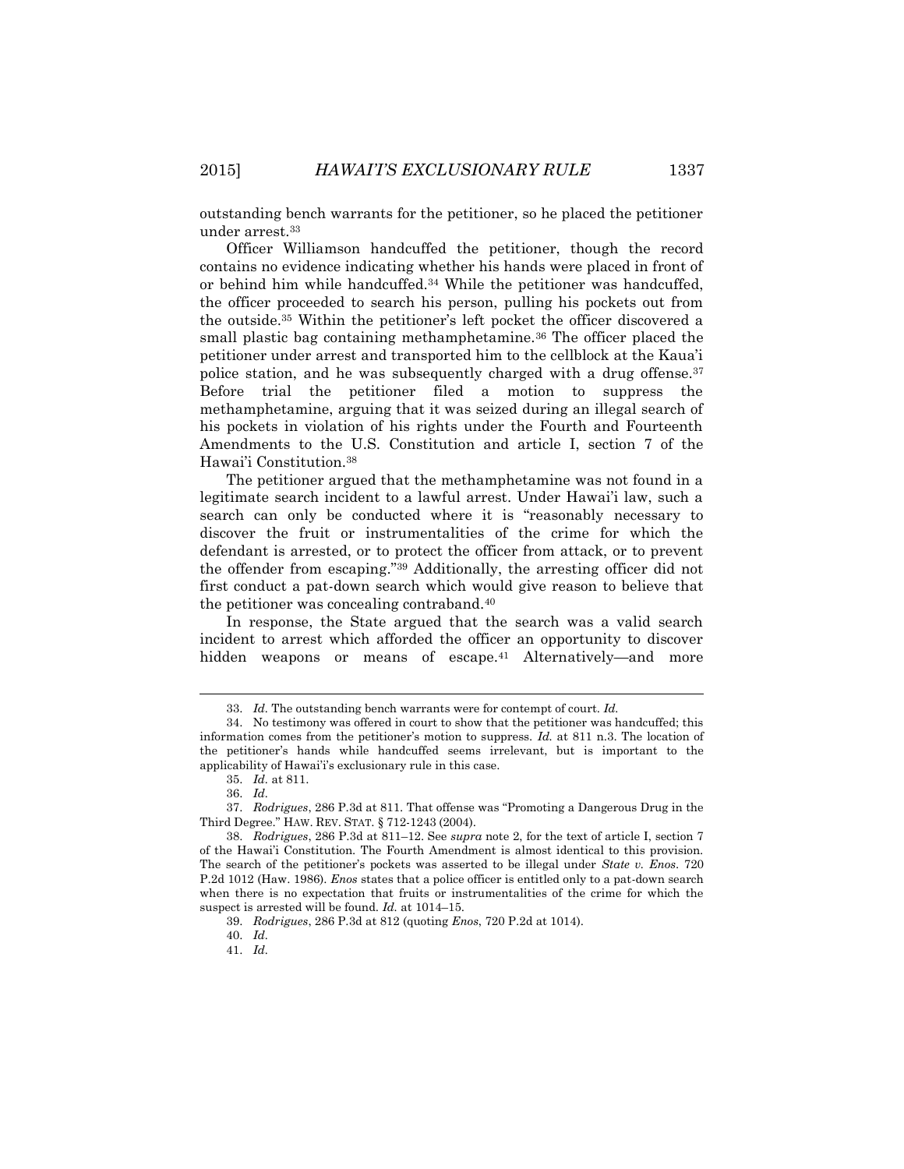outstanding bench warrants for the petitioner, so he placed the petitioner under arrest.<sup>33</sup>

Officer Williamson handcuffed the petitioner, though the record contains no evidence indicating whether his hands were placed in front of or behind him while handcuffed.<sup>34</sup> While the petitioner was handcuffed, the officer proceeded to search his person, pulling his pockets out from the outside.<sup>35</sup> Within the petitioner's left pocket the officer discovered a small plastic bag containing methamphetamine.<sup>36</sup> The officer placed the petitioner under arrest and transported him to the cellblock at the Kaua'i police station, and he was subsequently charged with a drug offense.<sup>37</sup> Before trial the petitioner filed a motion to suppress the methamphetamine, arguing that it was seized during an illegal search of his pockets in violation of his rights under the Fourth and Fourteenth Amendments to the U.S. Constitution and article I, section 7 of the Hawai'i Constitution.<sup>38</sup>

The petitioner argued that the methamphetamine was not found in a legitimate search incident to a lawful arrest. Under Hawai'i law, such a search can only be conducted where it is "reasonably necessary to discover the fruit or instrumentalities of the crime for which the defendant is arrested, or to protect the officer from attack, or to prevent the offender from escaping."<sup>39</sup> Additionally, the arresting officer did not first conduct a pat-down search which would give reason to believe that the petitioner was concealing contraband.<sup>40</sup>

In response, the State argued that the search was a valid search incident to arrest which afforded the officer an opportunity to discover hidden weapons or means of escape.<sup>41</sup> Alternatively—and more

<sup>33.</sup> *Id.* The outstanding bench warrants were for contempt of court. *Id.*

<sup>34.</sup> No testimony was offered in court to show that the petitioner was handcuffed; this information comes from the petitioner's motion to suppress. *Id.* at 811 n.3. The location of the petitioner's hands while handcuffed seems irrelevant, but is important to the applicability of Hawai'i's exclusionary rule in this case.

<sup>35.</sup> *Id.* at 811.

<sup>36.</sup> *Id.*

<sup>37.</sup> *Rodrigues*, 286 P.3d at 811. That offense was "Promoting a Dangerous Drug in the Third Degree." HAW. REV. STAT. § 712-1243 (2004).

<sup>38.</sup> *Rodrigues*, 286 P.3d at 811–12. See *supra* note 2, for the text of article I, section 7 of the Hawai'i Constitution. The Fourth Amendment is almost identical to this provision. The search of the petitioner's pockets was asserted to be illegal under *State v. Enos*. 720 P.2d 1012 (Haw. 1986). *Enos* states that a police officer is entitled only to a pat-down search when there is no expectation that fruits or instrumentalities of the crime for which the suspect is arrested will be found. *Id.* at 1014–15.

<sup>39.</sup> *Rodrigues*, 286 P.3d at 812 (quoting *Enos*, 720 P.2d at 1014).

<sup>40.</sup> *Id.*

<sup>41.</sup> *Id.*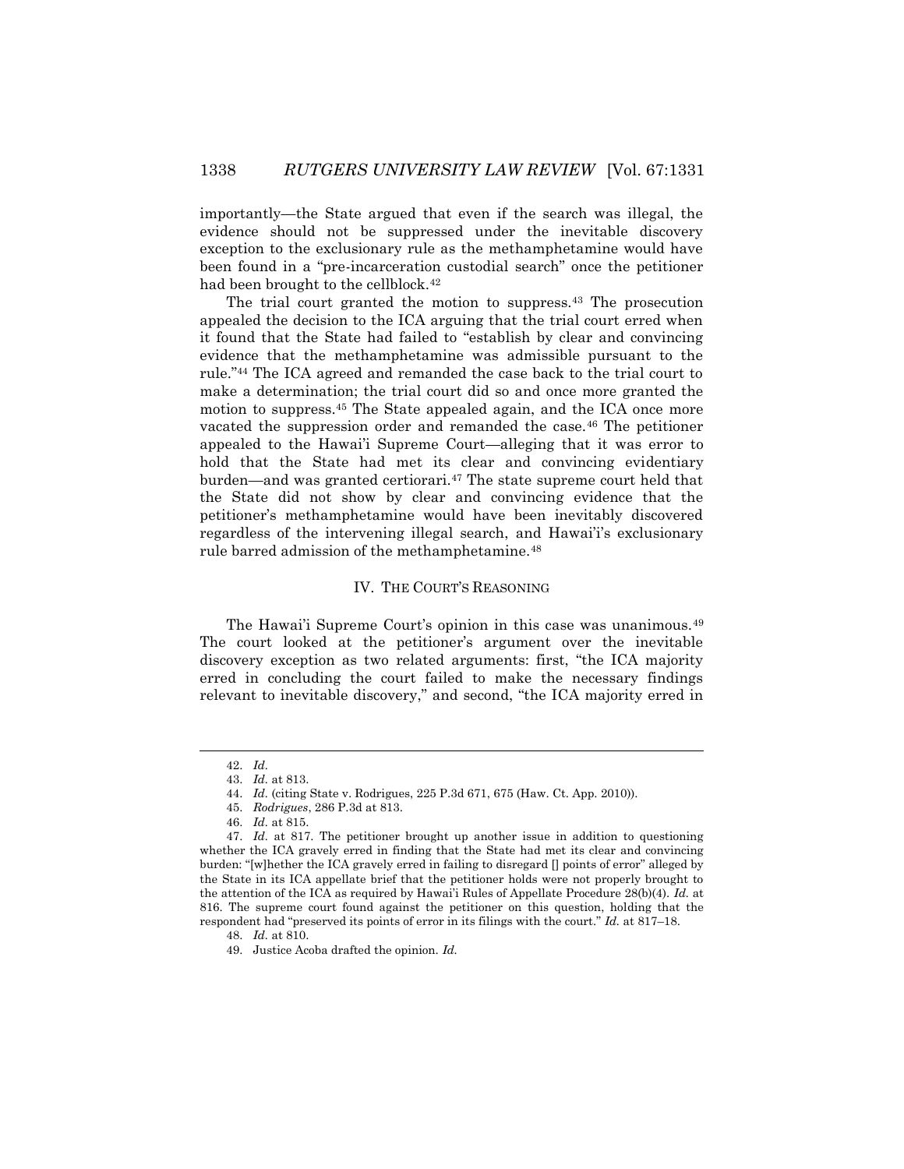importantly—the State argued that even if the search was illegal, the evidence should not be suppressed under the inevitable discovery exception to the exclusionary rule as the methamphetamine would have been found in a "pre-incarceration custodial search" once the petitioner had been brought to the cellblock.<sup>42</sup>

The trial court granted the motion to suppress.<sup>43</sup> The prosecution appealed the decision to the ICA arguing that the trial court erred when it found that the State had failed to "establish by clear and convincing evidence that the methamphetamine was admissible pursuant to the rule."<sup>44</sup> The ICA agreed and remanded the case back to the trial court to make a determination; the trial court did so and once more granted the motion to suppress.<sup>45</sup> The State appealed again, and the ICA once more vacated the suppression order and remanded the case.<sup>46</sup> The petitioner appealed to the Hawai'i Supreme Court—alleging that it was error to hold that the State had met its clear and convincing evidentiary burden—and was granted certiorari.<sup>47</sup> The state supreme court held that the State did not show by clear and convincing evidence that the petitioner's methamphetamine would have been inevitably discovered regardless of the intervening illegal search, and Hawai'i's exclusionary rule barred admission of the methamphetamine.<sup>48</sup>

#### IV. THE COURT'S REASONING

The Hawai'i Supreme Court's opinion in this case was unanimous.<sup>49</sup> The court looked at the petitioner's argument over the inevitable discovery exception as two related arguments: first, "the ICA majority erred in concluding the court failed to make the necessary findings relevant to inevitable discovery," and second, "the ICA majority erred in

 $\overline{\phantom{a}}$ 

<sup>42.</sup> *Id.*

<sup>43.</sup> *Id.* at 813.

<sup>44.</sup> *Id.* (citing State v. Rodrigues, 225 P.3d 671, 675 (Haw. Ct. App. 2010)).

<sup>45.</sup> *Rodrigues*, 286 P.3d at 813.

<sup>46.</sup> *Id.* at 815.

<sup>47.</sup> *Id.* at 817. The petitioner brought up another issue in addition to questioning whether the ICA gravely erred in finding that the State had met its clear and convincing burden: "[w]hether the ICA gravely erred in failing to disregard [] points of error" alleged by the State in its ICA appellate brief that the petitioner holds were not properly brought to the attention of the ICA as required by Hawai'i Rules of Appellate Procedure 28(b)(4). *Id.* at 816. The supreme court found against the petitioner on this question, holding that the respondent had "preserved its points of error in its filings with the court." *Id.* at 817–18.

<sup>48.</sup> *Id.* at 810.

<sup>49.</sup> Justice Acoba drafted the opinion. *Id.*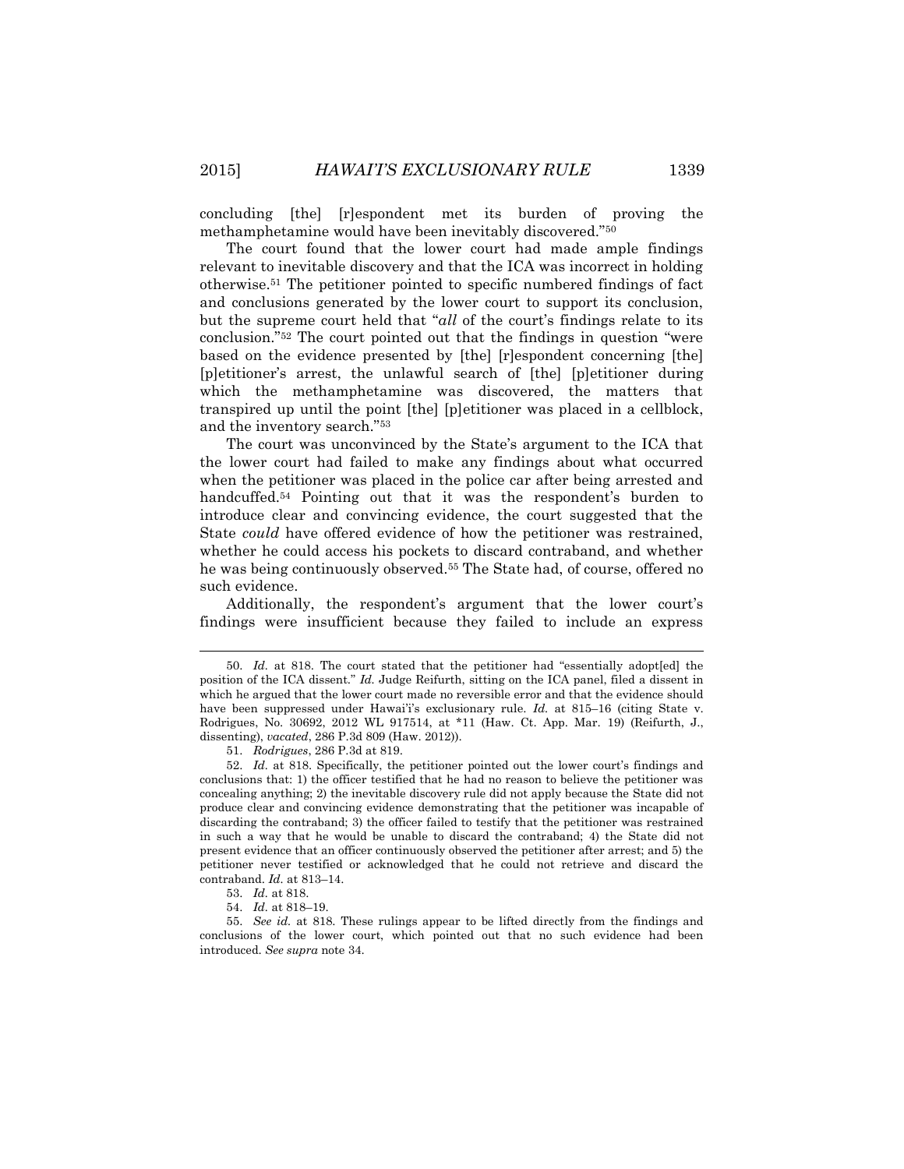concluding [the] [r]espondent met its burden of proving the methamphetamine would have been inevitably discovered."<sup>50</sup>

The court found that the lower court had made ample findings relevant to inevitable discovery and that the ICA was incorrect in holding otherwise.<sup>51</sup> The petitioner pointed to specific numbered findings of fact and conclusions generated by the lower court to support its conclusion, but the supreme court held that "*all* of the court's findings relate to its conclusion."<sup>52</sup> The court pointed out that the findings in question "were based on the evidence presented by [the] [r]espondent concerning [the] [p]etitioner's arrest, the unlawful search of [the] [p]etitioner during which the methamphetamine was discovered, the matters that transpired up until the point [the] [p]etitioner was placed in a cellblock, and the inventory search."<sup>53</sup>

The court was unconvinced by the State's argument to the ICA that the lower court had failed to make any findings about what occurred when the petitioner was placed in the police car after being arrested and handcuffed.<sup>54</sup> Pointing out that it was the respondent's burden to introduce clear and convincing evidence, the court suggested that the State *could* have offered evidence of how the petitioner was restrained, whether he could access his pockets to discard contraband, and whether he was being continuously observed.<sup>55</sup> The State had, of course, offered no such evidence.

Additionally, the respondent's argument that the lower court's findings were insufficient because they failed to include an express

l

<sup>50.</sup> *Id.* at 818. The court stated that the petitioner had "essentially adopt[ed] the position of the ICA dissent." *Id.* Judge Reifurth, sitting on the ICA panel, filed a dissent in which he argued that the lower court made no reversible error and that the evidence should have been suppressed under Hawai'i's exclusionary rule. *Id.* at 815–16 (citing State v. Rodrigues, No. 30692, 2012 WL 917514, at \*11 (Haw. Ct. App. Mar. 19) (Reifurth, J., dissenting), *vacated*, 286 P.3d 809 (Haw. 2012)).

<sup>51.</sup> *Rodrigues*, 286 P.3d at 819.

<sup>52.</sup> *Id.* at 818. Specifically, the petitioner pointed out the lower court's findings and conclusions that: 1) the officer testified that he had no reason to believe the petitioner was concealing anything; 2) the inevitable discovery rule did not apply because the State did not produce clear and convincing evidence demonstrating that the petitioner was incapable of discarding the contraband; 3) the officer failed to testify that the petitioner was restrained in such a way that he would be unable to discard the contraband; 4) the State did not present evidence that an officer continuously observed the petitioner after arrest; and 5) the petitioner never testified or acknowledged that he could not retrieve and discard the contraband. *Id.* at 813–14.

<sup>53.</sup> *Id.* at 818.

<sup>54.</sup> *Id.* at 818–19.

<sup>55.</sup> *See id.* at 818. These rulings appear to be lifted directly from the findings and conclusions of the lower court, which pointed out that no such evidence had been introduced. *See supra* note 34.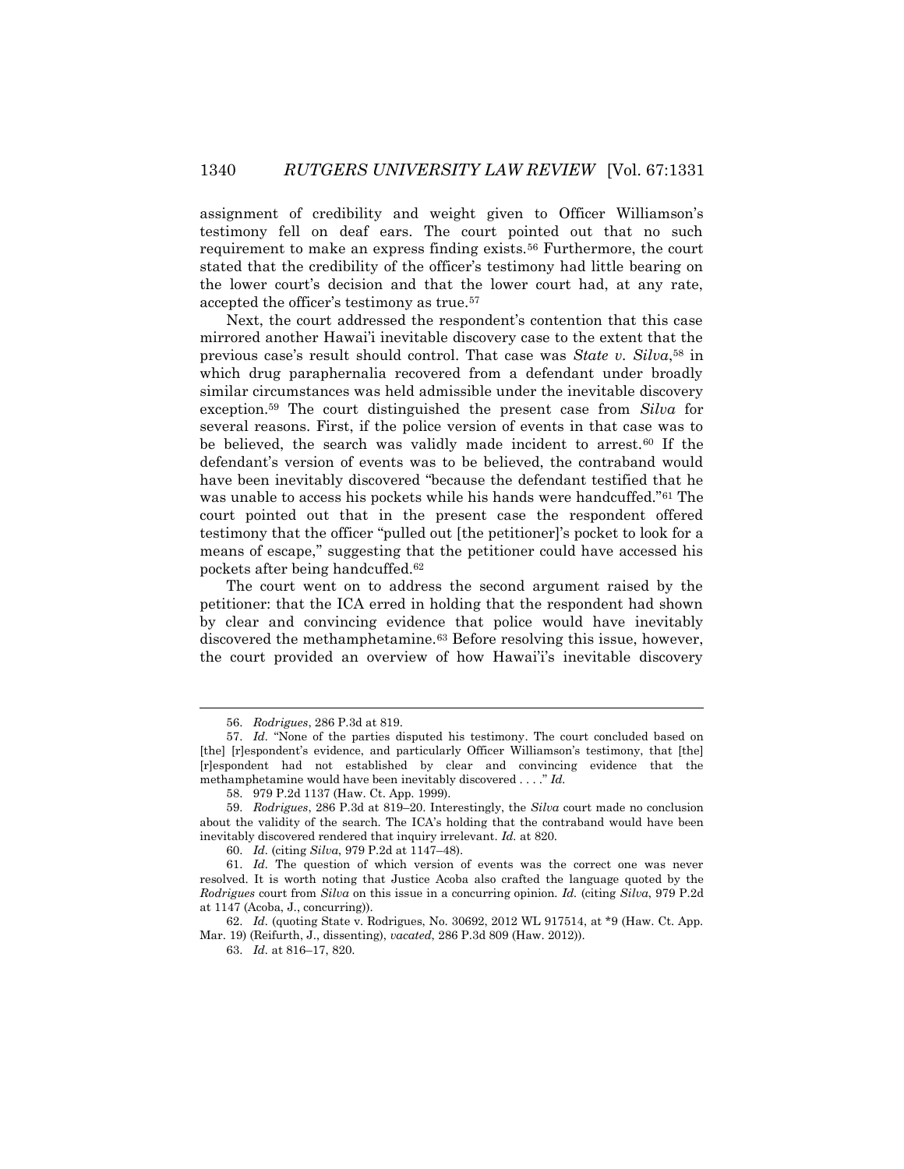assignment of credibility and weight given to Officer Williamson's testimony fell on deaf ears. The court pointed out that no such requirement to make an express finding exists.<sup>56</sup> Furthermore, the court stated that the credibility of the officer's testimony had little bearing on the lower court's decision and that the lower court had, at any rate, accepted the officer's testimony as true.<sup>57</sup>

Next, the court addressed the respondent's contention that this case mirrored another Hawai'i inevitable discovery case to the extent that the previous case's result should control. That case was *State v. Silva*, <sup>58</sup> in which drug paraphernalia recovered from a defendant under broadly similar circumstances was held admissible under the inevitable discovery exception.<sup>59</sup> The court distinguished the present case from *Silva* for several reasons. First, if the police version of events in that case was to be believed, the search was validly made incident to arrest.<sup>60</sup> If the defendant's version of events was to be believed, the contraband would have been inevitably discovered "because the defendant testified that he was unable to access his pockets while his hands were handcuffed."<sup>61</sup> The court pointed out that in the present case the respondent offered testimony that the officer "pulled out [the petitioner]'s pocket to look for a means of escape," suggesting that the petitioner could have accessed his pockets after being handcuffed.<sup>62</sup>

The court went on to address the second argument raised by the petitioner: that the ICA erred in holding that the respondent had shown by clear and convincing evidence that police would have inevitably discovered the methamphetamine.<sup>63</sup> Before resolving this issue, however, the court provided an overview of how Hawai'i's inevitable discovery

 $\overline{\phantom{a}}$ 

63. *Id.* at 816–17, 820.

<sup>56.</sup> *Rodrigues*, 286 P.3d at 819.

<sup>57.</sup> *Id.* "None of the parties disputed his testimony. The court concluded based on [the] [r]espondent's evidence, and particularly Officer Williamson's testimony, that [the] [r]espondent had not established by clear and convincing evidence that the methamphetamine would have been inevitably discovered . . . ." *Id.*

<sup>58.</sup> 979 P.2d 1137 (Haw. Ct. App. 1999).

<sup>59.</sup> *Rodrigues*, 286 P.3d at 819–20. Interestingly, the *Silva* court made no conclusion about the validity of the search. The ICA's holding that the contraband would have been inevitably discovered rendered that inquiry irrelevant. *Id.* at 820.

<sup>60.</sup> *Id.* (citing *Silva*, 979 P.2d at 1147–48).

<sup>61.</sup> *Id.* The question of which version of events was the correct one was never resolved. It is worth noting that Justice Acoba also crafted the language quoted by the *Rodrigues* court from *Silva* on this issue in a concurring opinion. *Id.* (citing *Silva*, 979 P.2d at 1147 (Acoba, J., concurring)).

<sup>62.</sup> *Id.* (quoting State v. Rodrigues, No. 30692, 2012 WL 917514, at \*9 (Haw. Ct. App. Mar. 19) (Reifurth, J., dissenting), *vacated*, 286 P.3d 809 (Haw. 2012)).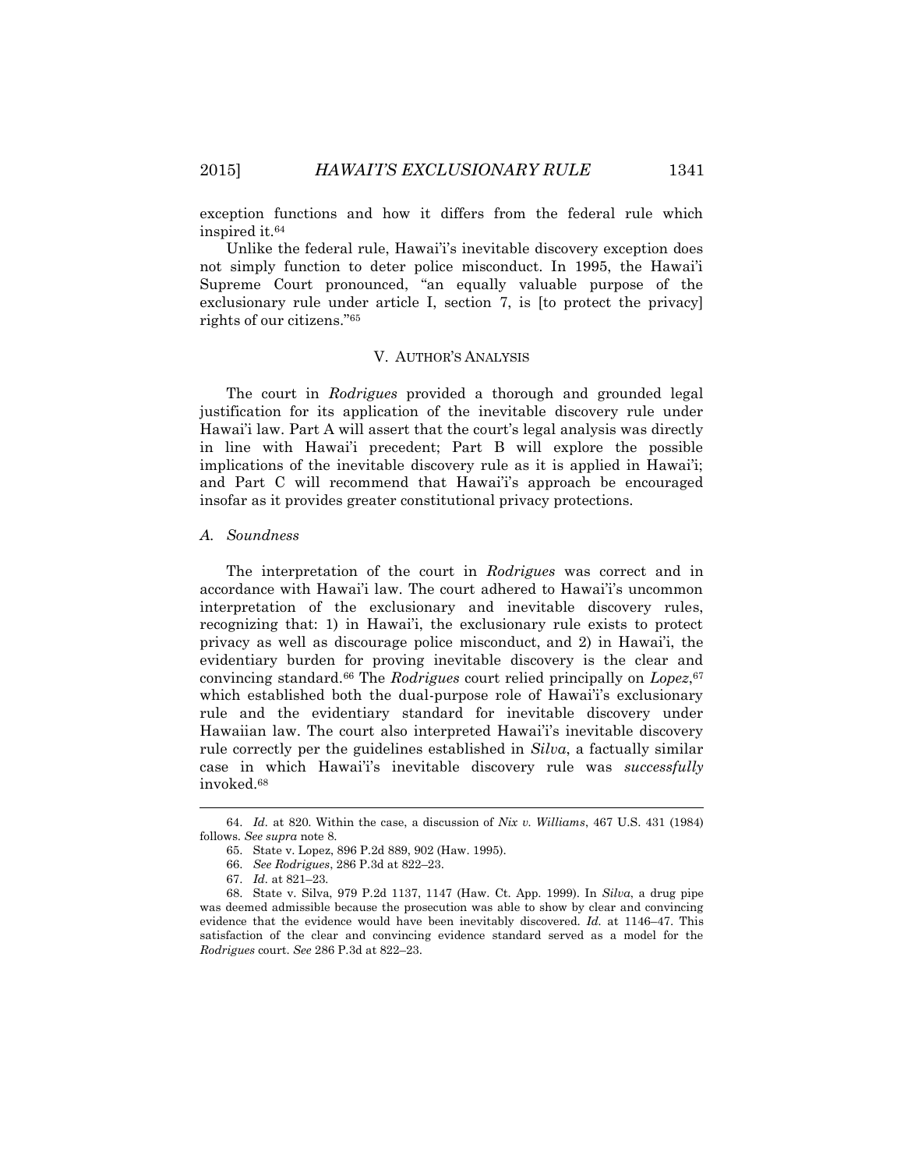exception functions and how it differs from the federal rule which inspired it.<sup>64</sup>

Unlike the federal rule, Hawai'i's inevitable discovery exception does not simply function to deter police misconduct. In 1995, the Hawai'i Supreme Court pronounced, "an equally valuable purpose of the exclusionary rule under article I, section 7, is [to protect the privacy] rights of our citizens."<sup>65</sup>

## V. AUTHOR'S ANALYSIS

The court in *Rodrigues* provided a thorough and grounded legal justification for its application of the inevitable discovery rule under Hawai'i law. Part A will assert that the court's legal analysis was directly in line with Hawai'i precedent; Part B will explore the possible implications of the inevitable discovery rule as it is applied in Hawai'i; and Part C will recommend that Hawai'i's approach be encouraged insofar as it provides greater constitutional privacy protections.

#### *A. Soundness*

The interpretation of the court in *Rodrigues* was correct and in accordance with Hawai'i law. The court adhered to Hawai'i's uncommon interpretation of the exclusionary and inevitable discovery rules, recognizing that: 1) in Hawai'i, the exclusionary rule exists to protect privacy as well as discourage police misconduct, and 2) in Hawai'i, the evidentiary burden for proving inevitable discovery is the clear and convincing standard.<sup>66</sup> The *Rodrigues* court relied principally on *Lopez*, 67 which established both the dual-purpose role of Hawai'i's exclusionary rule and the evidentiary standard for inevitable discovery under Hawaiian law. The court also interpreted Hawai'i's inevitable discovery rule correctly per the guidelines established in *Silva*, a factually similar case in which Hawai'i's inevitable discovery rule was *successfully* invoked.<sup>68</sup>

 $\overline{\phantom{a}}$ 

<sup>64.</sup> *Id.* at 820. Within the case, a discussion of *Nix v. Williams*, 467 U.S. 431 (1984) follows. *See supra* note 8.

<sup>65.</sup> State v. Lopez, 896 P.2d 889, 902 (Haw. 1995).

<sup>66.</sup> *See Rodrigues*, 286 P.3d at 822–23.

<sup>67.</sup> *Id.* at 821–23*.*

<sup>68.</sup> State v. Silva, 979 P.2d 1137, 1147 (Haw. Ct. App. 1999). In *Silva*, a drug pipe was deemed admissible because the prosecution was able to show by clear and convincing evidence that the evidence would have been inevitably discovered. *Id.* at 1146–47. This satisfaction of the clear and convincing evidence standard served as a model for the *Rodrigues* court. *See* 286 P.3d at 822–23.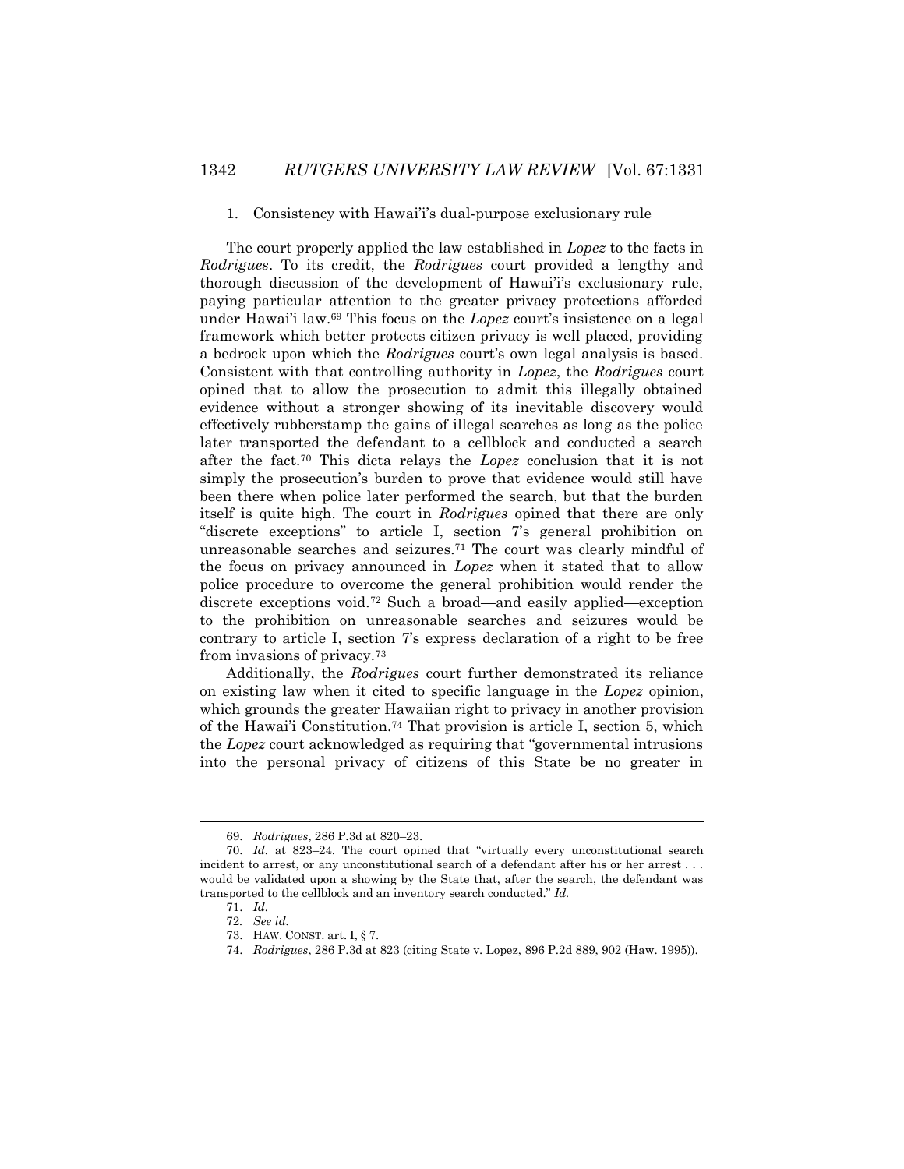## 1. Consistency with Hawai'i's dual-purpose exclusionary rule

The court properly applied the law established in *Lopez* to the facts in *Rodrigues*. To its credit, the *Rodrigues* court provided a lengthy and thorough discussion of the development of Hawai'i's exclusionary rule, paying particular attention to the greater privacy protections afforded under Hawai'i law.<sup>69</sup> This focus on the *Lopez* court's insistence on a legal framework which better protects citizen privacy is well placed, providing a bedrock upon which the *Rodrigues* court's own legal analysis is based. Consistent with that controlling authority in *Lopez*, the *Rodrigues* court opined that to allow the prosecution to admit this illegally obtained evidence without a stronger showing of its inevitable discovery would effectively rubberstamp the gains of illegal searches as long as the police later transported the defendant to a cellblock and conducted a search after the fact.<sup>70</sup> This dicta relays the *Lopez* conclusion that it is not simply the prosecution's burden to prove that evidence would still have been there when police later performed the search, but that the burden itself is quite high. The court in *Rodrigues* opined that there are only "discrete exceptions" to article I, section 7's general prohibition on unreasonable searches and seizures.<sup>71</sup> The court was clearly mindful of the focus on privacy announced in *Lopez* when it stated that to allow police procedure to overcome the general prohibition would render the discrete exceptions void.<sup>72</sup> Such a broad—and easily applied—exception to the prohibition on unreasonable searches and seizures would be contrary to article I, section 7's express declaration of a right to be free from invasions of privacy.<sup>73</sup>

Additionally, the *Rodrigues* court further demonstrated its reliance on existing law when it cited to specific language in the *Lopez* opinion, which grounds the greater Hawaiian right to privacy in another provision of the Hawai'i Constitution.<sup>74</sup> That provision is article I, section 5, which the *Lopez* court acknowledged as requiring that "governmental intrusions into the personal privacy of citizens of this State be no greater in

<sup>69.</sup> *Rodrigues*, 286 P.3d at 820–23.

<sup>70.</sup> *Id.* at 823–24. The court opined that "virtually every unconstitutional search incident to arrest, or any unconstitutional search of a defendant after his or her arrest . . . would be validated upon a showing by the State that, after the search, the defendant was transported to the cellblock and an inventory search conducted." *Id.*

<sup>71.</sup> *Id.*

<sup>72</sup>*. See id.*

<sup>73.</sup> HAW. CONST. art. I, § 7.

<sup>74.</sup> *Rodrigues*, 286 P.3d at 823 (citing State v. Lopez, 896 P.2d 889, 902 (Haw. 1995)).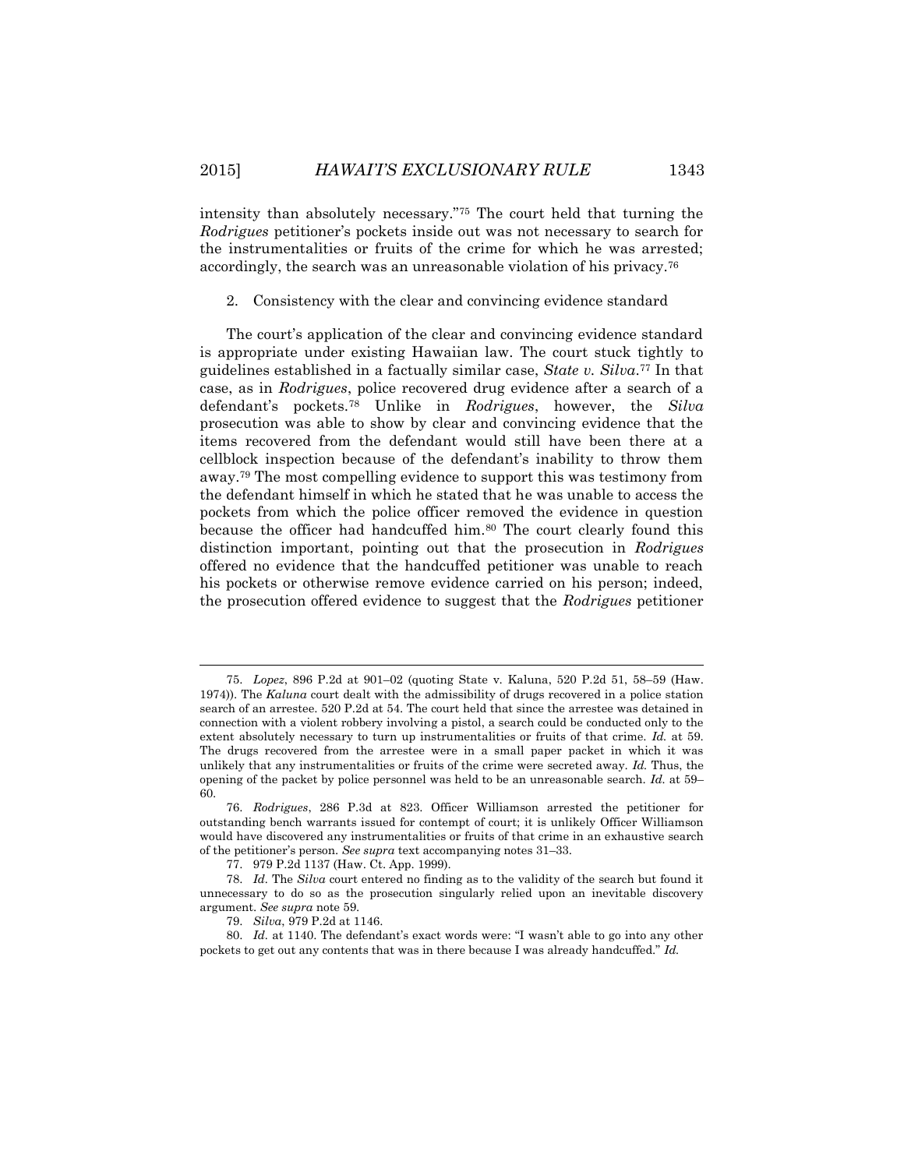intensity than absolutely necessary."<sup>75</sup> The court held that turning the *Rodrigues* petitioner's pockets inside out was not necessary to search for the instrumentalities or fruits of the crime for which he was arrested; accordingly, the search was an unreasonable violation of his privacy.<sup>76</sup>

2. Consistency with the clear and convincing evidence standard

The court's application of the clear and convincing evidence standard is appropriate under existing Hawaiian law. The court stuck tightly to guidelines established in a factually similar case, *State v. Silva*. <sup>77</sup> In that case, as in *Rodrigues*, police recovered drug evidence after a search of a defendant's pockets.<sup>78</sup> Unlike in *Rodrigues*, however, the *Silva* prosecution was able to show by clear and convincing evidence that the items recovered from the defendant would still have been there at a cellblock inspection because of the defendant's inability to throw them away.<sup>79</sup> The most compelling evidence to support this was testimony from the defendant himself in which he stated that he was unable to access the pockets from which the police officer removed the evidence in question because the officer had handcuffed him.<sup>80</sup> The court clearly found this distinction important, pointing out that the prosecution in *Rodrigues* offered no evidence that the handcuffed petitioner was unable to reach his pockets or otherwise remove evidence carried on his person; indeed, the prosecution offered evidence to suggest that the *Rodrigues* petitioner

 $\overline{\phantom{a}}$ 

<sup>75.</sup> *Lopez*, 896 P.2d at 901–02 (quoting State v. Kaluna, 520 P.2d 51, 58–59 (Haw. 1974)). The *Kaluna* court dealt with the admissibility of drugs recovered in a police station search of an arrestee. 520 P.2d at 54. The court held that since the arrestee was detained in connection with a violent robbery involving a pistol, a search could be conducted only to the extent absolutely necessary to turn up instrumentalities or fruits of that crime. *Id.* at 59. The drugs recovered from the arrestee were in a small paper packet in which it was unlikely that any instrumentalities or fruits of the crime were secreted away. *Id.* Thus, the opening of the packet by police personnel was held to be an unreasonable search. *Id.* at 59– 60.

<sup>76.</sup> *Rodrigues*, 286 P.3d at 823. Officer Williamson arrested the petitioner for outstanding bench warrants issued for contempt of court; it is unlikely Officer Williamson would have discovered any instrumentalities or fruits of that crime in an exhaustive search of the petitioner's person. *See supra* text accompanying notes 31–33.

<sup>77.</sup> 979 P.2d 1137 (Haw. Ct. App. 1999).

<sup>78.</sup> *Id.* The *Silva* court entered no finding as to the validity of the search but found it unnecessary to do so as the prosecution singularly relied upon an inevitable discovery argument. *See supra* note 59.

<sup>79.</sup> *Silva*, 979 P.2d at 1146.

<sup>80.</sup> *Id.* at 1140. The defendant's exact words were: "I wasn't able to go into any other pockets to get out any contents that was in there because I was already handcuffed." *Id.*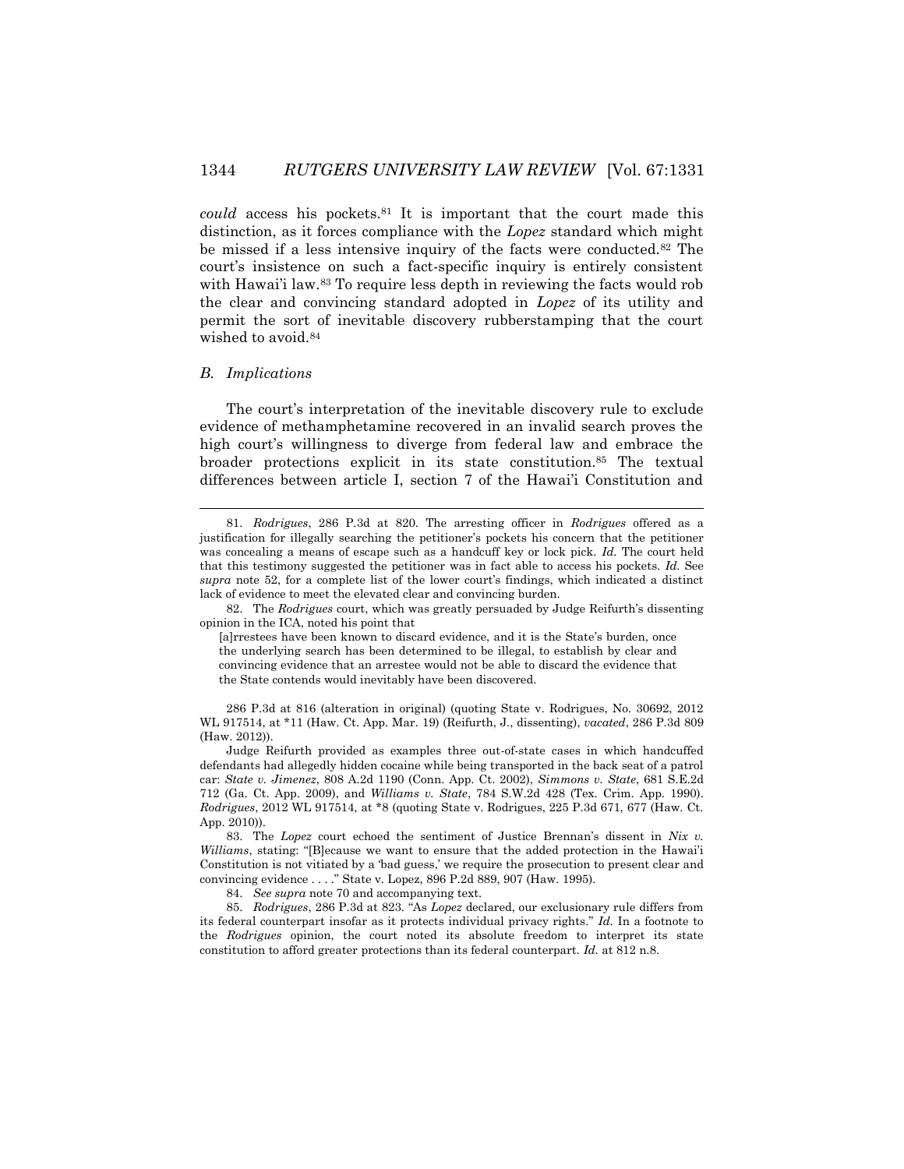*could* access his pockets.<sup>81</sup> It is important that the court made this distinction, as it forces compliance with the *Lopez* standard which might be missed if a less intensive inquiry of the facts were conducted.<sup>82</sup> The court's insistence on such a fact-specific inquiry is entirely consistent with Hawai'i law.<sup>83</sup> To require less depth in reviewing the facts would rob the clear and convincing standard adopted in *Lopez* of its utility and permit the sort of inevitable discovery rubberstamping that the court wished to avoid.<sup>84</sup>

#### *B. Implications*

 $\overline{\phantom{a}}$ 

The court's interpretation of the inevitable discovery rule to exclude evidence of methamphetamine recovered in an invalid search proves the high court's willingness to diverge from federal law and embrace the broader protections explicit in its state constitution.<sup>85</sup> The textual differences between article I, section 7 of the Hawai'i Constitution and

82. The *Rodrigues* court, which was greatly persuaded by Judge Reifurth's dissenting opinion in the ICA, noted his point that

[a]rrestees have been known to discard evidence, and it is the State's burden, once the underlying search has been determined to be illegal, to establish by clear and convincing evidence that an arrestee would not be able to discard the evidence that the State contends would inevitably have been discovered.

286 P.3d at 816 (alteration in original) (quoting State v. Rodrigues, No. 30692, 2012 WL 917514, at \*11 (Haw. Ct. App. Mar. 19) (Reifurth, J., dissenting), *vacated*, 286 P.3d 809 (Haw. 2012)).

Judge Reifurth provided as examples three out-of-state cases in which handcuffed defendants had allegedly hidden cocaine while being transported in the back seat of a patrol car: *State v. Jimenez*, 808 A.2d 1190 (Conn. App. Ct. 2002), *Simmons v. State*, 681 S.E.2d 712 (Ga. Ct. App. 2009), and *Williams v. State*, 784 S.W.2d 428 (Tex. Crim. App. 1990). *Rodrigues*, 2012 WL 917514, at \*8 (quoting State v. Rodrigues, 225 P.3d 671, 677 (Haw. Ct. App. 2010)).

83. The *Lopez* court echoed the sentiment of Justice Brennan's dissent in *Nix v. Williams*, stating: "[B]ecause we want to ensure that the added protection in the Hawai'i Constitution is not vitiated by a 'bad guess,' we require the prosecution to present clear and convincing evidence . . . ." State v. Lopez, 896 P.2d 889, 907 (Haw. 1995).

84. *See supra* note 70 and accompanying text.

85. *Rodrigues*, 286 P.3d at 823. "As *Lopez* declared, our exclusionary rule differs from its federal counterpart insofar as it protects individual privacy rights." *Id.* In a footnote to the *Rodrigues* opinion, the court noted its absolute freedom to interpret its state constitution to afford greater protections than its federal counterpart. *Id.* at 812 n.8.

<sup>81.</sup> *Rodrigues*, 286 P.3d at 820. The arresting officer in *Rodrigues* offered as a justification for illegally searching the petitioner's pockets his concern that the petitioner was concealing a means of escape such as a handcuff key or lock pick. *Id.* The court held that this testimony suggested the petitioner was in fact able to access his pockets. *Id.* See *supra* note 52, for a complete list of the lower court's findings, which indicated a distinct lack of evidence to meet the elevated clear and convincing burden.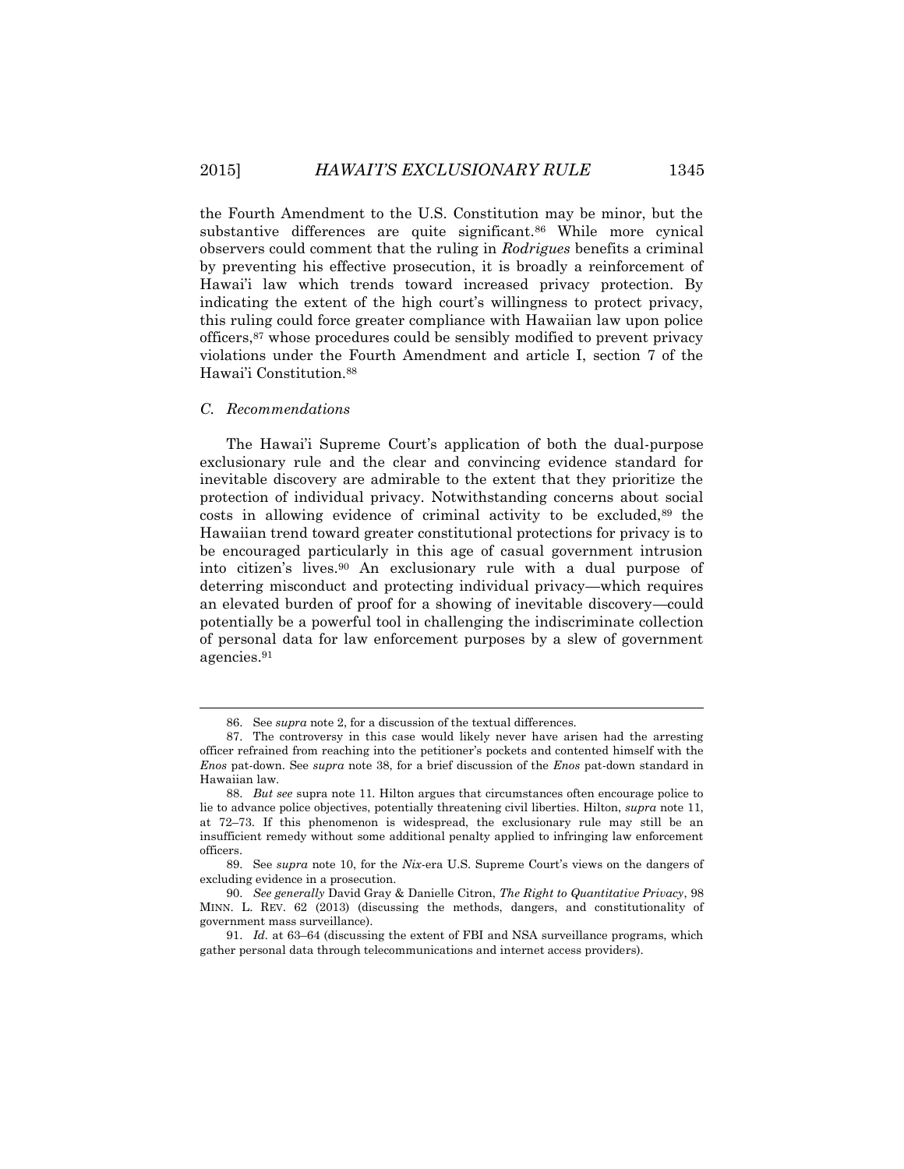the Fourth Amendment to the U.S. Constitution may be minor, but the substantive differences are quite significant.<sup>86</sup> While more cynical observers could comment that the ruling in *Rodrigues* benefits a criminal by preventing his effective prosecution, it is broadly a reinforcement of Hawai'i law which trends toward increased privacy protection. By indicating the extent of the high court's willingness to protect privacy, this ruling could force greater compliance with Hawaiian law upon police officers,<sup>87</sup> whose procedures could be sensibly modified to prevent privacy violations under the Fourth Amendment and article I, section 7 of the Hawai'i Constitution.<sup>88</sup>

### *C. Recommendations*

 $\overline{\phantom{a}}$ 

The Hawai'i Supreme Court's application of both the dual-purpose exclusionary rule and the clear and convincing evidence standard for inevitable discovery are admirable to the extent that they prioritize the protection of individual privacy. Notwithstanding concerns about social costs in allowing evidence of criminal activity to be excluded,<sup>89</sup> the Hawaiian trend toward greater constitutional protections for privacy is to be encouraged particularly in this age of casual government intrusion into citizen's lives.<sup>90</sup> An exclusionary rule with a dual purpose of deterring misconduct and protecting individual privacy—which requires an elevated burden of proof for a showing of inevitable discovery—could potentially be a powerful tool in challenging the indiscriminate collection of personal data for law enforcement purposes by a slew of government agencies.<sup>91</sup>

<sup>86.</sup> See *supra* note 2, for a discussion of the textual differences.

<sup>87.</sup> The controversy in this case would likely never have arisen had the arresting officer refrained from reaching into the petitioner's pockets and contented himself with the *Enos* pat-down. See *supra* note 38, for a brief discussion of the *Enos* pat-down standard in Hawaiian law.

<sup>88.</sup> *But see* supra note 11. Hilton argues that circumstances often encourage police to lie to advance police objectives, potentially threatening civil liberties. Hilton, *supra* note 11, at 72–73. If this phenomenon is widespread, the exclusionary rule may still be an insufficient remedy without some additional penalty applied to infringing law enforcement officers.

<sup>89.</sup> See *supra* note 10, for the *Nix*-era U.S. Supreme Court's views on the dangers of excluding evidence in a prosecution.

<sup>90.</sup> *See generally* David Gray & Danielle Citron, *The Right to Quantitative Privacy*, 98 MINN. L. REV. 62 (2013) (discussing the methods, dangers, and constitutionality of government mass surveillance).

<sup>91.</sup> *Id.* at 63–64 (discussing the extent of FBI and NSA surveillance programs, which gather personal data through telecommunications and internet access providers).